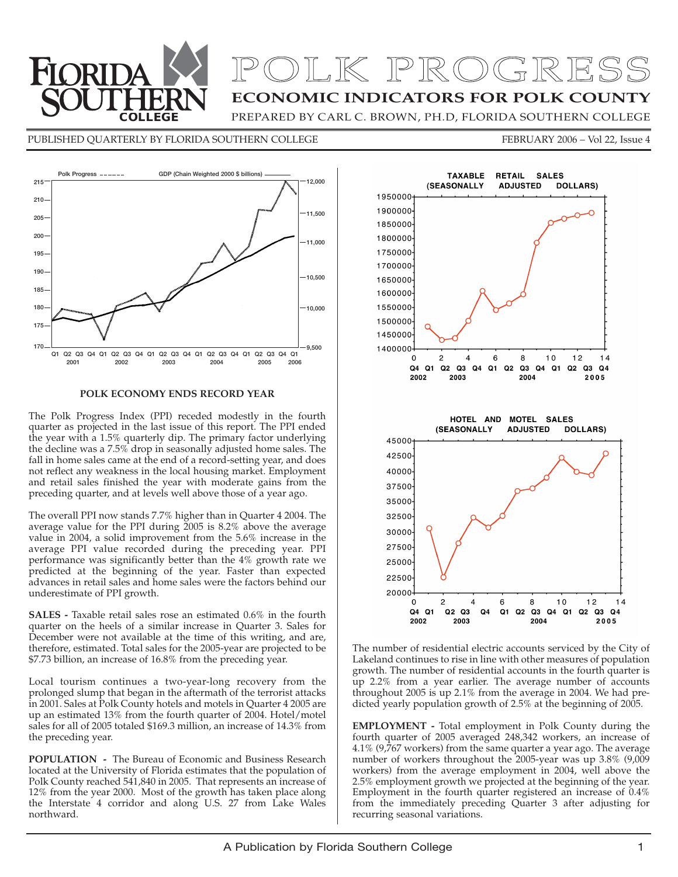

# OLK PROGRESS

**ECONOMIC INDICATORS FOR POLK COUNTY**

PREPARED BY CARL C. BROWN, PH.D, FLORIDA SOUTHERN COLLEGE

PUBLISHED QUARTERLY BY FLORIDA SOUTHERN COLLEGE FEBRUARY 2006 - Vol 22, Issue 4



#### **POLK ECONOMY ENDS RECORD YEAR**

The Polk Progress Index (PPI) receded modestly in the fourth quarter as projected in the last issue of this report. The PPI ended the year with a 1.5% quarterly dip. The primary factor underlying the decline was a 7.5% drop in seasonally adjusted home sales. The fall in home sales came at the end of a record-setting year, and does not reflect any weakness in the local housing market. Employment and retail sales finished the year with moderate gains from the preceding quarter, and at levels well above those of a year ago.

The overall PPI now stands 7.7% higher than in Quarter 4 2004. The average value for the PPI during 2005 is 8.2% above the average value in 2004, a solid improvement from the 5.6% increase in the average PPI value recorded during the preceding year. PPI performance was significantly better than the 4% growth rate we predicted at the beginning of the year. Faster than expected advances in retail sales and home sales were the factors behind our underestimate of PPI growth.

**SALES -** Taxable retail sales rose an estimated 0.6% in the fourth quarter on the heels of a similar increase in Quarter 3. Sales for December were not available at the time of this writing, and are, therefore, estimated. Total sales for the 2005-year are projected to be \$7.73 billion, an increase of 16.8% from the preceding year.

Local tourism continues a two-year-long recovery from the prolonged slump that began in the aftermath of the terrorist attacks in 2001. Sales at Polk County hotels and motels in Quarter 4 2005 are up an estimated 13% from the fourth quarter of 2004. Hotel/motel sales for all of 2005 totaled \$169.3 million, an increase of 14.3% from the preceding year.

**POPULATION -** The Bureau of Economic and Business Research located at the University of Florida estimates that the population of Polk County reached 541,840 in 2005. That represents an increase of 12% from the year 2000. Most of the growth has taken place along the Interstate 4 corridor and along U.S. 27 from Lake Wales northward.



The number of residential electric accounts serviced by the City of Lakeland continues to rise in line with other measures of population growth. The number of residential accounts in the fourth quarter is up 2.2% from a year earlier. The average number of accounts throughout 2005 is up 2.1% from the average in 2004. We had predicted yearly population growth of 2.5% at the beginning of 2005.

**EMPLOYMENT -** Total employment in Polk County during the fourth quarter of 2005 averaged 248,342 workers, an increase of  $4.1\%$  (9,767 workers) from the same quarter a year ago. The average number of workers throughout the 2005-year was up 3.8% (9,009 workers) from the average employment in 2004, well above the 2.5% employment growth we projected at the beginning of the year. Employment in the fourth quarter registered an increase of 0.4% from the immediately preceding Quarter 3 after adjusting for recurring seasonal variations.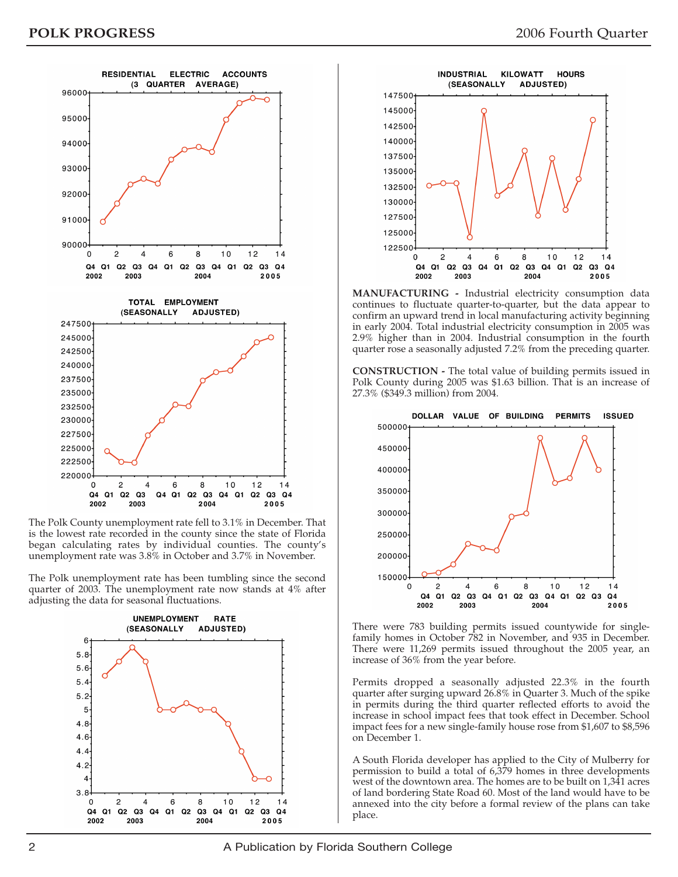

The Polk County unemployment rate fell to 3.1% in December. That is the lowest rate recorded in the county since the state of Florida began calculating rates by individual counties. The county's unemployment rate was 3.8% in October and 3.7% in November.

The Polk unemployment rate has been tumbling since the second quarter of 2003. The unemployment rate now stands at 4% after adjusting the data for seasonal fluctuations.





**MANUFACTURING -** Industrial electricity consumption data continues to fluctuate quarter-to-quarter, but the data appear to confirm an upward trend in local manufacturing activity beginning in early 2004. Total industrial electricity consumption in 2005 was 2.9% higher than in 2004. Industrial consumption in the fourth quarter rose a seasonally adjusted 7.2% from the preceding quarter.

**CONSTRUCTION -** The total value of building permits issued in Polk County during 2005 was \$1.63 billion. That is an increase of 27.3% (\$349.3 million) from 2004.



There were 783 building permits issued countywide for singlefamily homes in October 782 in November, and 935 in December. There were 11,269 permits issued throughout the 2005 year, an increase of 36% from the year before.

Permits dropped a seasonally adjusted 22.3% in the fourth quarter after surging upward 26.8% in Quarter 3. Much of the spike in permits during the third quarter reflected efforts to avoid the increase in school impact fees that took effect in December. School impact fees for a new single-family house rose from \$1,607 to \$8,596 on December 1.

A South Florida developer has applied to the City of Mulberry for permission to build a total of 6,379 homes in three developments west of the downtown area. The homes are to be built on 1,341 acres of land bordering State Road 60. Most of the land would have to be annexed into the city before a formal review of the plans can take place.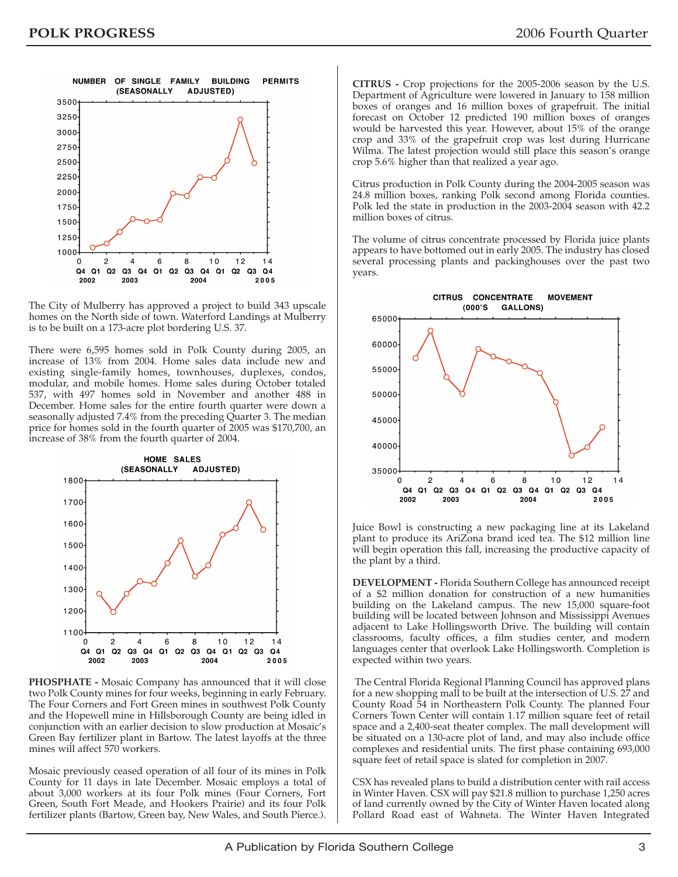

The City of Mulberry has approved a project to build 343 upscale homes on the North side of town. Waterford Landings at Mulberry is to be built on a 173-acre plot bordering U.S. 37.

There were 6,595 homes sold in Polk County during 2005, an increase of 13% from 2004. Home sales data include new and existing single-family homes, townhouses, duplexes, condos, modular, and mobile homes. Home sales during October totaled 537, with 497 homes sold in November and another 488 in December. Home sales for the entire fourth quarter were down a seasonally adjusted 7.4% from the preceding Quarter 3. The median price for homes sold in the fourth quarter of 2005 was \$170,700, an increase of 38% from the fourth quarter of 2004.



**PHOSPHATE -** Mosaic Company has announced that it will close two Polk County mines for four weeks, beginning in early February. The Four Corners and Fort Green mines in southwest Polk County and the Hopewell mine in Hillsborough County are being idled in conjunction with an earlier decision to slow production at Mosaic's Green Bay fertilizer plant in Bartow. The latest layoffs at the three mines will affect 570 workers.

Mosaic previously ceased operation of all four of its mines in Polk County for 11 days in late December. Mosaic employs a total of about 3,000 workers at its four Polk mines (Four Corners, Fort Green, South Fort Meade, and Hookers Prairie) and its four Polk fertilizer plants (Bartow, Green bay, New Wales, and South Pierce.). **CITRUS -** Crop projections for the 2005-2006 season by the U.S. Department of Agriculture were lowered in January to 158 million boxes of oranges and 16 million boxes of grapefruit. The initial forecast on October 12 predicted 190 million boxes of oranges would be harvested this year. However, about 15% of the orange crop and 33% of the grapefruit crop was lost during Hurricane Wilma. The latest projection would still place this season's orange crop 5.6% higher than that realized a year ago.

Citrus production in Polk County during the 2004-2005 season was 24.8 million boxes, ranking Polk second among Florida counties. Polk led the state in production in the 2003-2004 season with 42.2 million boxes of citrus.

The volume of citrus concentrate processed by Florida juice plants appears to have bottomed out in early 2005. The industry has closed several processing plants and packinghouses over the past two years.



Juice Bowl is constructing a new packaging line at its Lakeland plant to produce its AriZona brand iced tea. The \$12 million line will begin operation this fall, increasing the productive capacity of the plant by a third.

**DEVELOPMENT -** Florida Southern College has announced receipt of a \$2 million donation for construction of a new humanities building on the Lakeland campus. The new 15,000 square-foot building will be located between Johnson and Mississippi Avenues adjacent to Lake Hollingsworth Drive. The building will contain classrooms, faculty offices, a film studies center, and modern languages center that overlook Lake Hollingsworth. Completion is expected within two years.

The Central Florida Regional Planning Council has approved plans for a new shopping mall to be built at the intersection of U.S. 27 and County Road 54 in Northeastern Polk County. The planned Four Corners Town Center will contain 1.17 million square feet of retail space and a 2,400-seat theater complex. The mall development will be situated on a 130-acre plot of land, and may also include office complexes and residential units. The first phase containing 693,000 square feet of retail space is slated for completion in 2007.

CSX has revealed plans to build a distribution center with rail access in Winter Haven. CSX will pay \$21.8 million to purchase 1,250 acres of land currently owned by the City of Winter Haven located along Pollard Road east of Wahneta. The Winter Haven Integrated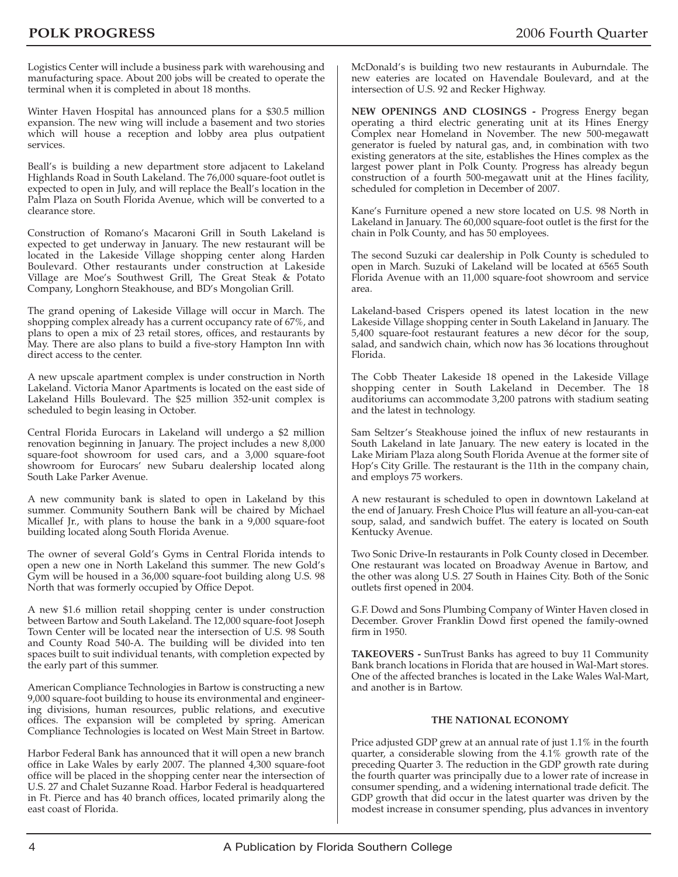Logistics Center will include a business park with warehousing and manufacturing space. About 200 jobs will be created to operate the terminal when it is completed in about 18 months.

Winter Haven Hospital has announced plans for a \$30.5 million expansion. The new wing will include a basement and two stories which will house a reception and lobby area plus outpatient services.

Beall's is building a new department store adjacent to Lakeland Highlands Road in South Lakeland. The 76,000 square-foot outlet is expected to open in July, and will replace the Beall's location in the Palm Plaza on South Florida Avenue, which will be converted to a clearance store.

Construction of Romano's Macaroni Grill in South Lakeland is expected to get underway in January. The new restaurant will be located in the Lakeside Village shopping center along Harden Boulevard. Other restaurants under construction at Lakeside Village are Moe's Southwest Grill, The Great Steak & Potato Company, Longhorn Steakhouse, and BD's Mongolian Grill.

The grand opening of Lakeside Village will occur in March. The shopping complex already has a current occupancy rate of 67%, and plans to open a mix of 23 retail stores, offices, and restaurants by May. There are also plans to build a five-story Hampton Inn with direct access to the center.

A new upscale apartment complex is under construction in North Lakeland. Victoria Manor Apartments is located on the east side of Lakeland Hills Boulevard. The \$25 million 352-unit complex is scheduled to begin leasing in October.

Central Florida Eurocars in Lakeland will undergo a \$2 million renovation beginning in January. The project includes a new 8,000 square-foot showroom for used cars, and a 3,000 square-foot showroom for Eurocars' new Subaru dealership located along South Lake Parker Avenue.

A new community bank is slated to open in Lakeland by this summer. Community Southern Bank will be chaired by Michael Micallef Jr., with plans to house the bank in a 9,000 square-foot building located along South Florida Avenue.

The owner of several Gold's Gyms in Central Florida intends to open a new one in North Lakeland this summer. The new Gold's Gym will be housed in a 36,000 square-foot building along U.S. 98 North that was formerly occupied by Office Depot.

A new \$1.6 million retail shopping center is under construction between Bartow and South Lakeland. The 12,000 square-foot Joseph Town Center will be located near the intersection of U.S. 98 South and County Road 540-A. The building will be divided into ten spaces built to suit individual tenants, with completion expected by the early part of this summer.

American Compliance Technologies in Bartow is constructing a new 9,000 square-foot building to house its environmental and engineering divisions, human resources, public relations, and executive offices. The expansion will be completed by spring. American Compliance Technologies is located on West Main Street in Bartow.

Harbor Federal Bank has announced that it will open a new branch office in Lake Wales by early 2007. The planned 4,300 square-foot office will be placed in the shopping center near the intersection of U.S. 27 and Chalet Suzanne Road. Harbor Federal is headquartered in Ft. Pierce and has 40 branch offices, located primarily along the east coast of Florida.

McDonald's is building two new restaurants in Auburndale. The new eateries are located on Havendale Boulevard, and at the intersection of U.S. 92 and Recker Highway.

**NEW OPENINGS AND CLOSINGS -** Progress Energy began operating a third electric generating unit at its Hines Energy Complex near Homeland in November. The new 500-megawatt generator is fueled by natural gas, and, in combination with two existing generators at the site, establishes the Hines complex as the largest power plant in Polk County. Progress has already begun construction of a fourth 500-megawatt unit at the Hines facility, scheduled for completion in December of 2007.

Kane's Furniture opened a new store located on U.S. 98 North in Lakeland in January. The 60,000 square-foot outlet is the first for the chain in Polk County, and has 50 employees.

The second Suzuki car dealership in Polk County is scheduled to open in March. Suzuki of Lakeland will be located at 6565 South Florida Avenue with an 11,000 square-foot showroom and service area.

Lakeland-based Crispers opened its latest location in the new Lakeside Village shopping center in South Lakeland in January. The 5,400 square-foot restaurant features a new décor for the soup, salad, and sandwich chain, which now has 36 locations throughout Florida.

The Cobb Theater Lakeside 18 opened in the Lakeside Village shopping center in South Lakeland in December. The 18 auditoriums can accommodate 3,200 patrons with stadium seating and the latest in technology.

Sam Seltzer's Steakhouse joined the influx of new restaurants in South Lakeland in late January. The new eatery is located in the Lake Miriam Plaza along South Florida Avenue at the former site of Hop's City Grille. The restaurant is the 11th in the company chain, and employs 75 workers.

A new restaurant is scheduled to open in downtown Lakeland at the end of January. Fresh Choice Plus will feature an all-you-can-eat soup, salad, and sandwich buffet. The eatery is located on South Kentucky Avenue.

Two Sonic Drive-In restaurants in Polk County closed in December. One restaurant was located on Broadway Avenue in Bartow, and the other was along U.S. 27 South in Haines City. Both of the Sonic outlets first opened in 2004.

G.F. Dowd and Sons Plumbing Company of Winter Haven closed in December. Grover Franklin Dowd first opened the family-owned firm in 1950.

**TAKEOVERS -** SunTrust Banks has agreed to buy 11 Community Bank branch locations in Florida that are housed in Wal-Mart stores. One of the affected branches is located in the Lake Wales Wal-Mart, and another is in Bartow.

### **THE NATIONAL ECONOMY**

Price adjusted GDP grew at an annual rate of just 1.1% in the fourth quarter, a considerable slowing from the 4.1% growth rate of the preceding Quarter 3. The reduction in the GDP growth rate during the fourth quarter was principally due to a lower rate of increase in consumer spending, and a widening international trade deficit. The GDP growth that did occur in the latest quarter was driven by the modest increase in consumer spending, plus advances in inventory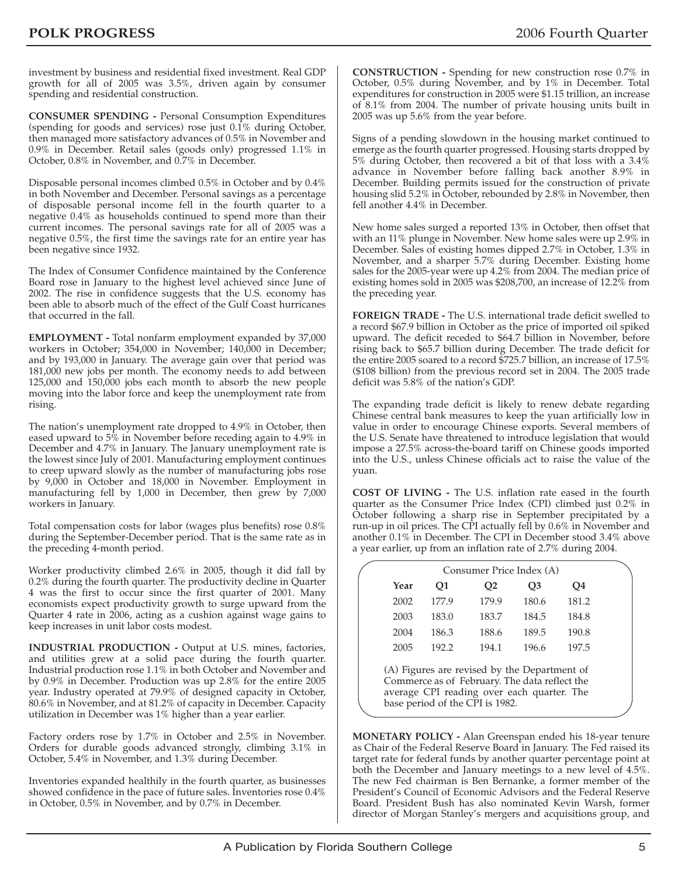investment by business and residential fixed investment. Real GDP growth for all of 2005 was 3.5%, driven again by consumer spending and residential construction.

**CONSUMER SPENDING -** Personal Consumption Expenditures (spending for goods and services) rose just 0.1% during October, then managed more satisfactory advances of 0.5% in November and 0.9% in December. Retail sales (goods only) progressed 1.1% in October, 0.8% in November, and 0.7% in December.

Disposable personal incomes climbed 0.5% in October and by 0.4% in both November and December. Personal savings as a percentage of disposable personal income fell in the fourth quarter to a negative 0.4% as households continued to spend more than their current incomes. The personal savings rate for all of 2005 was a negative 0.5%, the first time the savings rate for an entire year has been negative since 1932.

The Index of Consumer Confidence maintained by the Conference Board rose in January to the highest level achieved since June of 2002. The rise in confidence suggests that the U.S. economy has been able to absorb much of the effect of the Gulf Coast hurricanes that occurred in the fall.

**EMPLOYMENT -** Total nonfarm employment expanded by 37,000 workers in October; 354,000 in November; 140,000 in December; and by 193,000 in January. The average gain over that period was 181,000 new jobs per month. The economy needs to add between 125,000 and 150,000 jobs each month to absorb the new people moving into the labor force and keep the unemployment rate from rising.

The nation's unemployment rate dropped to 4.9% in October, then eased upward to 5% in November before receding again to 4.9% in December and 4.7% in January. The January unemployment rate is the lowest since July of 2001. Manufacturing employment continues to creep upward slowly as the number of manufacturing jobs rose by 9,000 in October and 18,000 in November. Employment in manufacturing fell by 1,000 in December, then grew by 7,000 workers in January.

Total compensation costs for labor (wages plus benefits) rose 0.8% during the September-December period. That is the same rate as in the preceding 4-month period.

Worker productivity climbed 2.6% in 2005, though it did fall by 0.2% during the fourth quarter. The productivity decline in Quarter 4 was the first to occur since the first quarter of 2001. Many economists expect productivity growth to surge upward from the Quarter 4 rate in 2006, acting as a cushion against wage gains to keep increases in unit labor costs modest.

**INDUSTRIAL PRODUCTION -** Output at U.S. mines, factories, and utilities grew at a solid pace during the fourth quarter. Industrial production rose 1.1% in both October and November and by 0.9% in December. Production was up 2.8% for the entire 2005 year. Industry operated at 79.9% of designed capacity in October, 80.6% in November, and at 81.2% of capacity in December. Capacity utilization in December was 1% higher than a year earlier.

Factory orders rose by 1.7% in October and 2.5% in November. Orders for durable goods advanced strongly, climbing 3.1% in October, 5.4% in November, and 1.3% during December.

Inventories expanded healthily in the fourth quarter, as businesses showed confidence in the pace of future sales. Inventories rose 0.4% in October, 0.5% in November, and by 0.7% in December.

**CONSTRUCTION -** Spending for new construction rose 0.7% in October, 0.5% during November, and by 1% in December. Total expenditures for construction in 2005 were \$1.15 trillion, an increase of 8.1% from 2004. The number of private housing units built in 2005 was up 5.6% from the year before.

Signs of a pending slowdown in the housing market continued to emerge as the fourth quarter progressed. Housing starts dropped by 5% during October, then recovered a bit of that loss with a 3.4% advance in November before falling back another 8.9% in December. Building permits issued for the construction of private housing slid 5.2% in October, rebounded by 2.8% in November, then fell another 4.4% in December.

New home sales surged a reported 13% in October, then offset that with an 11% plunge in November. New home sales were up 2.9% in December. Sales of existing homes dipped 2.7% in October, 1.3% in November, and a sharper 5.7% during December. Existing home sales for the 2005-year were up 4.2% from 2004. The median price of existing homes sold in 2005 was \$208,700, an increase of 12.2% from the preceding year.

**FOREIGN TRADE -** The U.S. international trade deficit swelled to a record \$67.9 billion in October as the price of imported oil spiked upward. The deficit receded to \$64.7 billion in November, before rising back to \$65.7 billion during December. The trade deficit for the entire 2005 soared to a record \$725.7 billion, an increase of 17.5% (\$108 billion) from the previous record set in 2004. The 2005 trade deficit was 5.8% of the nation's GDP.

The expanding trade deficit is likely to renew debate regarding Chinese central bank measures to keep the yuan artificially low in value in order to encourage Chinese exports. Several members of the U.S. Senate have threatened to introduce legislation that would impose a 27.5% across-the-board tariff on Chinese goods imported into the U.S., unless Chinese officials act to raise the value of the yuan.

**COST OF LIVING -** The U.S. inflation rate eased in the fourth quarter as the Consumer Price Index (CPI) climbed just 0.2% in October following a sharp rise in September precipitated by a run-up in oil prices. The CPI actually fell by 0.6% in November and another 0.1% in December. The CPI in December stood 3.4% above a year earlier, up from an inflation rate of 2.7% during 2004.

| 2002<br>177.9 | 179.9          |       |       |
|---------------|----------------|-------|-------|
|               |                | 180.6 | 181.2 |
| 2003          | 183.7<br>183.0 | 184.5 | 184.8 |
| 2004          | 186.3<br>188.6 | 189.5 | 190.8 |
| 2005          | 192.2<br>194.1 | 196.6 | 197.5 |

base period of the CPI is 1982.

**MONETARY POLICY -** Alan Greenspan ended his 18-year tenure as Chair of the Federal Reserve Board in January. The Fed raised its target rate for federal funds by another quarter percentage point at both the December and January meetings to a new level of 4.5%. The new Fed chairman is Ben Bernanke, a former member of the President's Council of Economic Advisors and the Federal Reserve Board. President Bush has also nominated Kevin Warsh, former director of Morgan Stanley's mergers and acquisitions group, and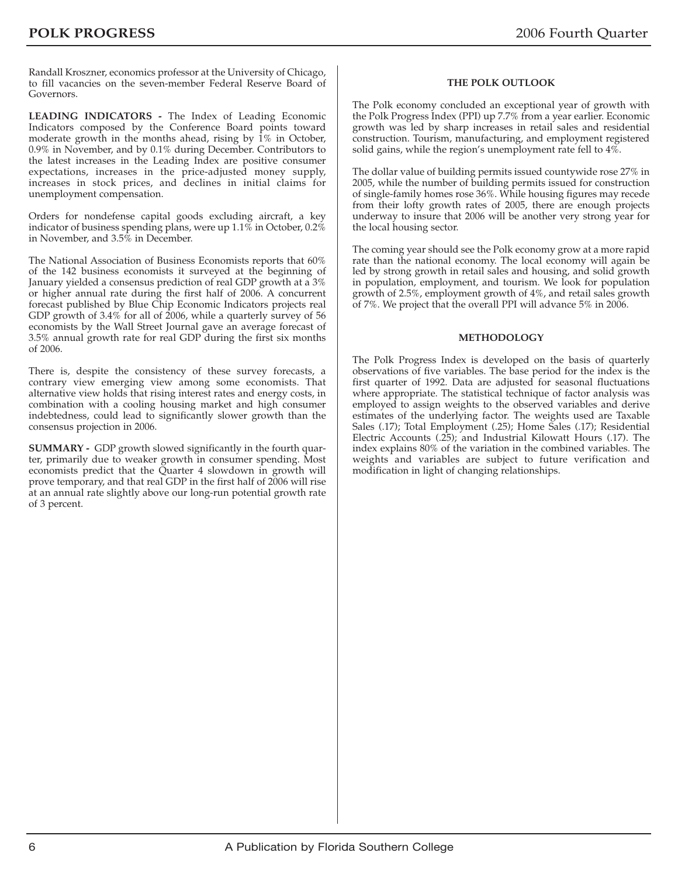Randall Kroszner, economics professor at the University of Chicago, to fill vacancies on the seven-member Federal Reserve Board of Governors.

**LEADING INDICATORS -** The Index of Leading Economic Indicators composed by the Conference Board points toward moderate growth in the months ahead, rising by 1% in October, 0.9% in November, and by 0.1% during December. Contributors to the latest increases in the Leading Index are positive consumer expectations, increases in the price-adjusted money supply, increases in stock prices, and declines in initial claims for unemployment compensation.

Orders for nondefense capital goods excluding aircraft, a key indicator of business spending plans, were up 1.1% in October, 0.2% in November, and 3.5% in December.

The National Association of Business Economists reports that 60% of the 142 business economists it surveyed at the beginning of January yielded a consensus prediction of real GDP growth at a 3% or higher annual rate during the first half of 2006. A concurrent forecast published by Blue Chip Economic Indicators projects real GDP growth of 3.4% for all of 2006, while a quarterly survey of 56 economists by the Wall Street Journal gave an average forecast of 3.5% annual growth rate for real GDP during the first six months of 2006.

There is, despite the consistency of these survey forecasts, a contrary view emerging view among some economists. That alternative view holds that rising interest rates and energy costs, in combination with a cooling housing market and high consumer indebtedness, could lead to significantly slower growth than the consensus projection in 2006.

**SUMMARY -** GDP growth slowed significantly in the fourth quarter, primarily due to weaker growth in consumer spending. Most economists predict that the Quarter 4 slowdown in growth will prove temporary, and that real GDP in the first half of 2006 will rise at an annual rate slightly above our long-run potential growth rate of 3 percent.

#### **THE POLK OUTLOOK**

The Polk economy concluded an exceptional year of growth with the Polk Progress Index (PPI) up 7.7% from a year earlier. Economic growth was led by sharp increases in retail sales and residential construction. Tourism, manufacturing, and employment registered solid gains, while the region's unemployment rate fell to 4%.

The dollar value of building permits issued countywide rose 27% in 2005, while the number of building permits issued for construction of single-family homes rose 36%. While housing figures may recede from their lofty growth rates of 2005, there are enough projects underway to insure that 2006 will be another very strong year for the local housing sector.

The coming year should see the Polk economy grow at a more rapid rate than the national economy. The local economy will again be led by strong growth in retail sales and housing, and solid growth in population, employment, and tourism. We look for population growth of 2.5%, employment growth of 4%, and retail sales growth of 7%. We project that the overall PPI will advance 5% in 2006.

#### **METHODOLOGY**

The Polk Progress Index is developed on the basis of quarterly observations of five variables. The base period for the index is the first quarter of 1992. Data are adjusted for seasonal fluctuations where appropriate. The statistical technique of factor analysis was employed to assign weights to the observed variables and derive estimates of the underlying factor. The weights used are Taxable Sales (.17); Total Employment (.25); Home Sales (.17); Residential Electric Accounts (.25); and Industrial Kilowatt Hours (.17). The index explains 80% of the variation in the combined variables. The weights and variables are subject to future verification and modification in light of changing relationships.